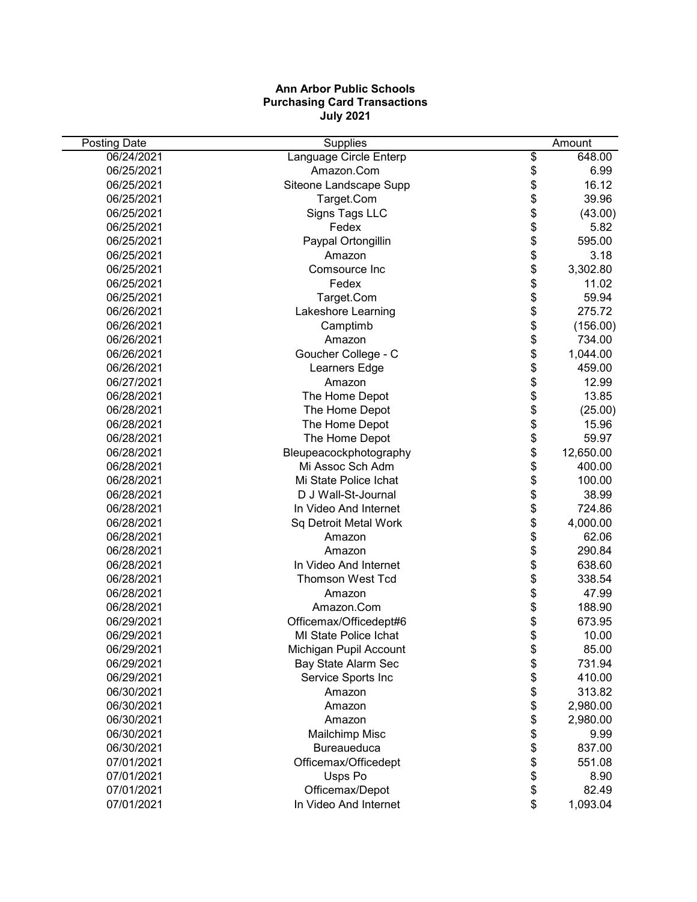## **Ann Arbor Public Schools Purchasing Card Transactions July 2021**

| 06/24/2021<br>Language Circle Enterp<br>\$<br>648.00<br>Amazon.Com<br>\$<br>06/25/2021<br>6.99<br>\$<br>16.12<br>06/25/2021<br>Siteone Landscape Supp<br>\$<br>06/25/2021<br>39.96<br>Target.Com<br>\$<br>06/25/2021<br>Signs Tags LLC<br>(43.00)<br>\$<br>Fedex<br>5.82<br>06/25/2021<br>\$<br>06/25/2021<br>Paypal Ortongillin<br>595.00<br>\$<br>06/25/2021<br>3.18<br>Amazon<br>\$<br>06/25/2021<br>3,302.80<br>Comsource Inc<br>\$<br>06/25/2021<br>Fedex<br>11.02<br>\$<br>06/25/2021<br>59.94<br>Target.Com<br>\$<br>06/26/2021<br>Lakeshore Learning<br>275.72<br>\$<br>06/26/2021<br>Camptimb<br>(156.00)<br>\$<br>06/26/2021<br>Amazon<br>734.00<br>\$<br>Goucher College - C<br>06/26/2021<br>1,044.00<br>\$<br>06/26/2021<br>Learners Edge<br>459.00<br>\$<br>06/27/2021<br>12.99<br>Amazon<br>\$<br>06/28/2021<br>13.85<br>The Home Depot<br>\$<br>06/28/2021<br>The Home Depot<br>(25.00)<br>\$<br>06/28/2021<br>The Home Depot<br>15.96<br>\$<br>06/28/2021<br>59.97<br>The Home Depot<br>\$<br>06/28/2021<br>12,650.00<br>Bleupeacockphotography<br>\$<br>Mi Assoc Sch Adm<br>400.00<br>06/28/2021<br>\$<br>06/28/2021<br>Mi State Police Ichat<br>100.00<br>\$<br>06/28/2021<br>D J Wall-St-Journal<br>38.99<br>\$<br>06/28/2021<br>724.86<br>In Video And Internet<br>\$<br>06/28/2021<br>Sq Detroit Metal Work<br>4,000.00<br>\$<br>06/28/2021<br>62.06<br>Amazon<br>\$<br>06/28/2021<br>290.84<br>Amazon<br>\$<br>06/28/2021<br>In Video And Internet<br>638.60<br>\$<br>06/28/2021<br><b>Thomson West Tcd</b><br>338.54<br>\$<br>06/28/2021<br>47.99<br>Amazon<br>\$<br>06/28/2021<br>188.90<br>Amazon.Com<br>\$<br>06/29/2021<br>Officemax/Officedept#6<br>673.95<br>\$<br>06/29/2021<br><b>MI State Police Ichat</b><br>10.00<br>06/29/2021<br>Michigan Pupil Account<br>\$<br>85.00<br>\$<br>06/29/2021<br>Bay State Alarm Sec<br>731.94<br>\$<br>06/29/2021<br>Service Sports Inc<br>410.00<br>\$<br>06/30/2021<br>Amazon<br>313.82<br>\$<br>06/30/2021<br>2,980.00<br>Amazon<br>\$<br>06/30/2021<br>2,980.00<br>Amazon<br>\$<br>06/30/2021<br>9.99<br>Mailchimp Misc<br>\$<br>06/30/2021<br>Bureaueduca<br>837.00<br>\$<br>07/01/2021<br>Officemax/Officedept<br>551.08<br>\$<br>07/01/2021<br>Usps Po<br>8.90<br>\$<br>07/01/2021<br>Officemax/Depot<br>82.49 | <b>Posting Date</b> | Supplies              | Amount         |
|------------------------------------------------------------------------------------------------------------------------------------------------------------------------------------------------------------------------------------------------------------------------------------------------------------------------------------------------------------------------------------------------------------------------------------------------------------------------------------------------------------------------------------------------------------------------------------------------------------------------------------------------------------------------------------------------------------------------------------------------------------------------------------------------------------------------------------------------------------------------------------------------------------------------------------------------------------------------------------------------------------------------------------------------------------------------------------------------------------------------------------------------------------------------------------------------------------------------------------------------------------------------------------------------------------------------------------------------------------------------------------------------------------------------------------------------------------------------------------------------------------------------------------------------------------------------------------------------------------------------------------------------------------------------------------------------------------------------------------------------------------------------------------------------------------------------------------------------------------------------------------------------------------------------------------------------------------------------------------------------------------------------------------------------------------------------------------------------------------------------------------------------------------------------------------------------------------------------------------------------------------------------------------------|---------------------|-----------------------|----------------|
|                                                                                                                                                                                                                                                                                                                                                                                                                                                                                                                                                                                                                                                                                                                                                                                                                                                                                                                                                                                                                                                                                                                                                                                                                                                                                                                                                                                                                                                                                                                                                                                                                                                                                                                                                                                                                                                                                                                                                                                                                                                                                                                                                                                                                                                                                          |                     |                       |                |
|                                                                                                                                                                                                                                                                                                                                                                                                                                                                                                                                                                                                                                                                                                                                                                                                                                                                                                                                                                                                                                                                                                                                                                                                                                                                                                                                                                                                                                                                                                                                                                                                                                                                                                                                                                                                                                                                                                                                                                                                                                                                                                                                                                                                                                                                                          |                     |                       |                |
|                                                                                                                                                                                                                                                                                                                                                                                                                                                                                                                                                                                                                                                                                                                                                                                                                                                                                                                                                                                                                                                                                                                                                                                                                                                                                                                                                                                                                                                                                                                                                                                                                                                                                                                                                                                                                                                                                                                                                                                                                                                                                                                                                                                                                                                                                          |                     |                       |                |
|                                                                                                                                                                                                                                                                                                                                                                                                                                                                                                                                                                                                                                                                                                                                                                                                                                                                                                                                                                                                                                                                                                                                                                                                                                                                                                                                                                                                                                                                                                                                                                                                                                                                                                                                                                                                                                                                                                                                                                                                                                                                                                                                                                                                                                                                                          |                     |                       |                |
|                                                                                                                                                                                                                                                                                                                                                                                                                                                                                                                                                                                                                                                                                                                                                                                                                                                                                                                                                                                                                                                                                                                                                                                                                                                                                                                                                                                                                                                                                                                                                                                                                                                                                                                                                                                                                                                                                                                                                                                                                                                                                                                                                                                                                                                                                          |                     |                       |                |
|                                                                                                                                                                                                                                                                                                                                                                                                                                                                                                                                                                                                                                                                                                                                                                                                                                                                                                                                                                                                                                                                                                                                                                                                                                                                                                                                                                                                                                                                                                                                                                                                                                                                                                                                                                                                                                                                                                                                                                                                                                                                                                                                                                                                                                                                                          |                     |                       |                |
|                                                                                                                                                                                                                                                                                                                                                                                                                                                                                                                                                                                                                                                                                                                                                                                                                                                                                                                                                                                                                                                                                                                                                                                                                                                                                                                                                                                                                                                                                                                                                                                                                                                                                                                                                                                                                                                                                                                                                                                                                                                                                                                                                                                                                                                                                          |                     |                       |                |
|                                                                                                                                                                                                                                                                                                                                                                                                                                                                                                                                                                                                                                                                                                                                                                                                                                                                                                                                                                                                                                                                                                                                                                                                                                                                                                                                                                                                                                                                                                                                                                                                                                                                                                                                                                                                                                                                                                                                                                                                                                                                                                                                                                                                                                                                                          |                     |                       |                |
|                                                                                                                                                                                                                                                                                                                                                                                                                                                                                                                                                                                                                                                                                                                                                                                                                                                                                                                                                                                                                                                                                                                                                                                                                                                                                                                                                                                                                                                                                                                                                                                                                                                                                                                                                                                                                                                                                                                                                                                                                                                                                                                                                                                                                                                                                          |                     |                       |                |
|                                                                                                                                                                                                                                                                                                                                                                                                                                                                                                                                                                                                                                                                                                                                                                                                                                                                                                                                                                                                                                                                                                                                                                                                                                                                                                                                                                                                                                                                                                                                                                                                                                                                                                                                                                                                                                                                                                                                                                                                                                                                                                                                                                                                                                                                                          |                     |                       |                |
|                                                                                                                                                                                                                                                                                                                                                                                                                                                                                                                                                                                                                                                                                                                                                                                                                                                                                                                                                                                                                                                                                                                                                                                                                                                                                                                                                                                                                                                                                                                                                                                                                                                                                                                                                                                                                                                                                                                                                                                                                                                                                                                                                                                                                                                                                          |                     |                       |                |
|                                                                                                                                                                                                                                                                                                                                                                                                                                                                                                                                                                                                                                                                                                                                                                                                                                                                                                                                                                                                                                                                                                                                                                                                                                                                                                                                                                                                                                                                                                                                                                                                                                                                                                                                                                                                                                                                                                                                                                                                                                                                                                                                                                                                                                                                                          |                     |                       |                |
|                                                                                                                                                                                                                                                                                                                                                                                                                                                                                                                                                                                                                                                                                                                                                                                                                                                                                                                                                                                                                                                                                                                                                                                                                                                                                                                                                                                                                                                                                                                                                                                                                                                                                                                                                                                                                                                                                                                                                                                                                                                                                                                                                                                                                                                                                          |                     |                       |                |
|                                                                                                                                                                                                                                                                                                                                                                                                                                                                                                                                                                                                                                                                                                                                                                                                                                                                                                                                                                                                                                                                                                                                                                                                                                                                                                                                                                                                                                                                                                                                                                                                                                                                                                                                                                                                                                                                                                                                                                                                                                                                                                                                                                                                                                                                                          |                     |                       |                |
|                                                                                                                                                                                                                                                                                                                                                                                                                                                                                                                                                                                                                                                                                                                                                                                                                                                                                                                                                                                                                                                                                                                                                                                                                                                                                                                                                                                                                                                                                                                                                                                                                                                                                                                                                                                                                                                                                                                                                                                                                                                                                                                                                                                                                                                                                          |                     |                       |                |
|                                                                                                                                                                                                                                                                                                                                                                                                                                                                                                                                                                                                                                                                                                                                                                                                                                                                                                                                                                                                                                                                                                                                                                                                                                                                                                                                                                                                                                                                                                                                                                                                                                                                                                                                                                                                                                                                                                                                                                                                                                                                                                                                                                                                                                                                                          |                     |                       |                |
|                                                                                                                                                                                                                                                                                                                                                                                                                                                                                                                                                                                                                                                                                                                                                                                                                                                                                                                                                                                                                                                                                                                                                                                                                                                                                                                                                                                                                                                                                                                                                                                                                                                                                                                                                                                                                                                                                                                                                                                                                                                                                                                                                                                                                                                                                          |                     |                       |                |
|                                                                                                                                                                                                                                                                                                                                                                                                                                                                                                                                                                                                                                                                                                                                                                                                                                                                                                                                                                                                                                                                                                                                                                                                                                                                                                                                                                                                                                                                                                                                                                                                                                                                                                                                                                                                                                                                                                                                                                                                                                                                                                                                                                                                                                                                                          |                     |                       |                |
|                                                                                                                                                                                                                                                                                                                                                                                                                                                                                                                                                                                                                                                                                                                                                                                                                                                                                                                                                                                                                                                                                                                                                                                                                                                                                                                                                                                                                                                                                                                                                                                                                                                                                                                                                                                                                                                                                                                                                                                                                                                                                                                                                                                                                                                                                          |                     |                       |                |
|                                                                                                                                                                                                                                                                                                                                                                                                                                                                                                                                                                                                                                                                                                                                                                                                                                                                                                                                                                                                                                                                                                                                                                                                                                                                                                                                                                                                                                                                                                                                                                                                                                                                                                                                                                                                                                                                                                                                                                                                                                                                                                                                                                                                                                                                                          |                     |                       |                |
|                                                                                                                                                                                                                                                                                                                                                                                                                                                                                                                                                                                                                                                                                                                                                                                                                                                                                                                                                                                                                                                                                                                                                                                                                                                                                                                                                                                                                                                                                                                                                                                                                                                                                                                                                                                                                                                                                                                                                                                                                                                                                                                                                                                                                                                                                          |                     |                       |                |
|                                                                                                                                                                                                                                                                                                                                                                                                                                                                                                                                                                                                                                                                                                                                                                                                                                                                                                                                                                                                                                                                                                                                                                                                                                                                                                                                                                                                                                                                                                                                                                                                                                                                                                                                                                                                                                                                                                                                                                                                                                                                                                                                                                                                                                                                                          |                     |                       |                |
|                                                                                                                                                                                                                                                                                                                                                                                                                                                                                                                                                                                                                                                                                                                                                                                                                                                                                                                                                                                                                                                                                                                                                                                                                                                                                                                                                                                                                                                                                                                                                                                                                                                                                                                                                                                                                                                                                                                                                                                                                                                                                                                                                                                                                                                                                          |                     |                       |                |
|                                                                                                                                                                                                                                                                                                                                                                                                                                                                                                                                                                                                                                                                                                                                                                                                                                                                                                                                                                                                                                                                                                                                                                                                                                                                                                                                                                                                                                                                                                                                                                                                                                                                                                                                                                                                                                                                                                                                                                                                                                                                                                                                                                                                                                                                                          |                     |                       |                |
|                                                                                                                                                                                                                                                                                                                                                                                                                                                                                                                                                                                                                                                                                                                                                                                                                                                                                                                                                                                                                                                                                                                                                                                                                                                                                                                                                                                                                                                                                                                                                                                                                                                                                                                                                                                                                                                                                                                                                                                                                                                                                                                                                                                                                                                                                          |                     |                       |                |
|                                                                                                                                                                                                                                                                                                                                                                                                                                                                                                                                                                                                                                                                                                                                                                                                                                                                                                                                                                                                                                                                                                                                                                                                                                                                                                                                                                                                                                                                                                                                                                                                                                                                                                                                                                                                                                                                                                                                                                                                                                                                                                                                                                                                                                                                                          |                     |                       |                |
|                                                                                                                                                                                                                                                                                                                                                                                                                                                                                                                                                                                                                                                                                                                                                                                                                                                                                                                                                                                                                                                                                                                                                                                                                                                                                                                                                                                                                                                                                                                                                                                                                                                                                                                                                                                                                                                                                                                                                                                                                                                                                                                                                                                                                                                                                          |                     |                       |                |
|                                                                                                                                                                                                                                                                                                                                                                                                                                                                                                                                                                                                                                                                                                                                                                                                                                                                                                                                                                                                                                                                                                                                                                                                                                                                                                                                                                                                                                                                                                                                                                                                                                                                                                                                                                                                                                                                                                                                                                                                                                                                                                                                                                                                                                                                                          |                     |                       |                |
|                                                                                                                                                                                                                                                                                                                                                                                                                                                                                                                                                                                                                                                                                                                                                                                                                                                                                                                                                                                                                                                                                                                                                                                                                                                                                                                                                                                                                                                                                                                                                                                                                                                                                                                                                                                                                                                                                                                                                                                                                                                                                                                                                                                                                                                                                          |                     |                       |                |
|                                                                                                                                                                                                                                                                                                                                                                                                                                                                                                                                                                                                                                                                                                                                                                                                                                                                                                                                                                                                                                                                                                                                                                                                                                                                                                                                                                                                                                                                                                                                                                                                                                                                                                                                                                                                                                                                                                                                                                                                                                                                                                                                                                                                                                                                                          |                     |                       |                |
|                                                                                                                                                                                                                                                                                                                                                                                                                                                                                                                                                                                                                                                                                                                                                                                                                                                                                                                                                                                                                                                                                                                                                                                                                                                                                                                                                                                                                                                                                                                                                                                                                                                                                                                                                                                                                                                                                                                                                                                                                                                                                                                                                                                                                                                                                          |                     |                       |                |
|                                                                                                                                                                                                                                                                                                                                                                                                                                                                                                                                                                                                                                                                                                                                                                                                                                                                                                                                                                                                                                                                                                                                                                                                                                                                                                                                                                                                                                                                                                                                                                                                                                                                                                                                                                                                                                                                                                                                                                                                                                                                                                                                                                                                                                                                                          |                     |                       |                |
|                                                                                                                                                                                                                                                                                                                                                                                                                                                                                                                                                                                                                                                                                                                                                                                                                                                                                                                                                                                                                                                                                                                                                                                                                                                                                                                                                                                                                                                                                                                                                                                                                                                                                                                                                                                                                                                                                                                                                                                                                                                                                                                                                                                                                                                                                          |                     |                       |                |
|                                                                                                                                                                                                                                                                                                                                                                                                                                                                                                                                                                                                                                                                                                                                                                                                                                                                                                                                                                                                                                                                                                                                                                                                                                                                                                                                                                                                                                                                                                                                                                                                                                                                                                                                                                                                                                                                                                                                                                                                                                                                                                                                                                                                                                                                                          |                     |                       |                |
|                                                                                                                                                                                                                                                                                                                                                                                                                                                                                                                                                                                                                                                                                                                                                                                                                                                                                                                                                                                                                                                                                                                                                                                                                                                                                                                                                                                                                                                                                                                                                                                                                                                                                                                                                                                                                                                                                                                                                                                                                                                                                                                                                                                                                                                                                          |                     |                       |                |
|                                                                                                                                                                                                                                                                                                                                                                                                                                                                                                                                                                                                                                                                                                                                                                                                                                                                                                                                                                                                                                                                                                                                                                                                                                                                                                                                                                                                                                                                                                                                                                                                                                                                                                                                                                                                                                                                                                                                                                                                                                                                                                                                                                                                                                                                                          |                     |                       |                |
|                                                                                                                                                                                                                                                                                                                                                                                                                                                                                                                                                                                                                                                                                                                                                                                                                                                                                                                                                                                                                                                                                                                                                                                                                                                                                                                                                                                                                                                                                                                                                                                                                                                                                                                                                                                                                                                                                                                                                                                                                                                                                                                                                                                                                                                                                          |                     |                       |                |
|                                                                                                                                                                                                                                                                                                                                                                                                                                                                                                                                                                                                                                                                                                                                                                                                                                                                                                                                                                                                                                                                                                                                                                                                                                                                                                                                                                                                                                                                                                                                                                                                                                                                                                                                                                                                                                                                                                                                                                                                                                                                                                                                                                                                                                                                                          |                     |                       |                |
|                                                                                                                                                                                                                                                                                                                                                                                                                                                                                                                                                                                                                                                                                                                                                                                                                                                                                                                                                                                                                                                                                                                                                                                                                                                                                                                                                                                                                                                                                                                                                                                                                                                                                                                                                                                                                                                                                                                                                                                                                                                                                                                                                                                                                                                                                          |                     |                       |                |
|                                                                                                                                                                                                                                                                                                                                                                                                                                                                                                                                                                                                                                                                                                                                                                                                                                                                                                                                                                                                                                                                                                                                                                                                                                                                                                                                                                                                                                                                                                                                                                                                                                                                                                                                                                                                                                                                                                                                                                                                                                                                                                                                                                                                                                                                                          |                     |                       |                |
|                                                                                                                                                                                                                                                                                                                                                                                                                                                                                                                                                                                                                                                                                                                                                                                                                                                                                                                                                                                                                                                                                                                                                                                                                                                                                                                                                                                                                                                                                                                                                                                                                                                                                                                                                                                                                                                                                                                                                                                                                                                                                                                                                                                                                                                                                          |                     |                       |                |
|                                                                                                                                                                                                                                                                                                                                                                                                                                                                                                                                                                                                                                                                                                                                                                                                                                                                                                                                                                                                                                                                                                                                                                                                                                                                                                                                                                                                                                                                                                                                                                                                                                                                                                                                                                                                                                                                                                                                                                                                                                                                                                                                                                                                                                                                                          |                     |                       |                |
|                                                                                                                                                                                                                                                                                                                                                                                                                                                                                                                                                                                                                                                                                                                                                                                                                                                                                                                                                                                                                                                                                                                                                                                                                                                                                                                                                                                                                                                                                                                                                                                                                                                                                                                                                                                                                                                                                                                                                                                                                                                                                                                                                                                                                                                                                          |                     |                       |                |
|                                                                                                                                                                                                                                                                                                                                                                                                                                                                                                                                                                                                                                                                                                                                                                                                                                                                                                                                                                                                                                                                                                                                                                                                                                                                                                                                                                                                                                                                                                                                                                                                                                                                                                                                                                                                                                                                                                                                                                                                                                                                                                                                                                                                                                                                                          |                     |                       |                |
|                                                                                                                                                                                                                                                                                                                                                                                                                                                                                                                                                                                                                                                                                                                                                                                                                                                                                                                                                                                                                                                                                                                                                                                                                                                                                                                                                                                                                                                                                                                                                                                                                                                                                                                                                                                                                                                                                                                                                                                                                                                                                                                                                                                                                                                                                          |                     |                       |                |
|                                                                                                                                                                                                                                                                                                                                                                                                                                                                                                                                                                                                                                                                                                                                                                                                                                                                                                                                                                                                                                                                                                                                                                                                                                                                                                                                                                                                                                                                                                                                                                                                                                                                                                                                                                                                                                                                                                                                                                                                                                                                                                                                                                                                                                                                                          |                     |                       |                |
|                                                                                                                                                                                                                                                                                                                                                                                                                                                                                                                                                                                                                                                                                                                                                                                                                                                                                                                                                                                                                                                                                                                                                                                                                                                                                                                                                                                                                                                                                                                                                                                                                                                                                                                                                                                                                                                                                                                                                                                                                                                                                                                                                                                                                                                                                          | 07/01/2021          | In Video And Internet | \$<br>1,093.04 |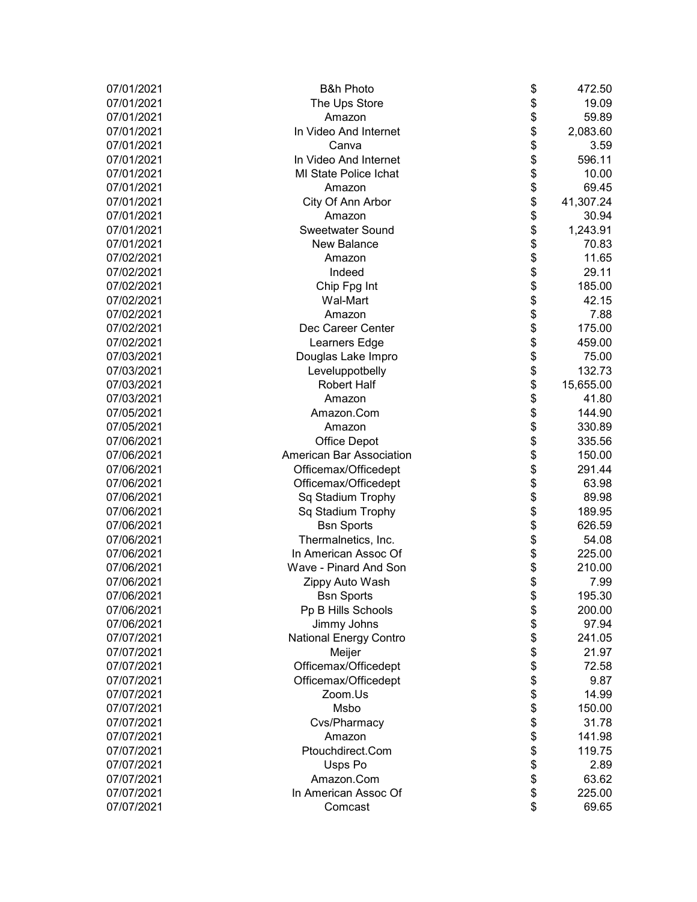| 07/01/2021 | <b>B&amp;h Photo</b>          | \$<br>472.50    |
|------------|-------------------------------|-----------------|
| 07/01/2021 | The Ups Store                 | \$<br>19.09     |
| 07/01/2021 | Amazon                        | \$<br>59.89     |
| 07/01/2021 | In Video And Internet         | \$<br>2,083.60  |
| 07/01/2021 | Canva                         | \$<br>3.59      |
| 07/01/2021 | In Video And Internet         | \$<br>596.11    |
| 07/01/2021 | <b>MI State Police Ichat</b>  | \$<br>10.00     |
| 07/01/2021 | Amazon                        | \$<br>69.45     |
| 07/01/2021 | City Of Ann Arbor             | \$<br>41,307.24 |
| 07/01/2021 | Amazon                        | \$<br>30.94     |
| 07/01/2021 | <b>Sweetwater Sound</b>       | \$<br>1,243.91  |
| 07/01/2021 | <b>New Balance</b>            | \$<br>70.83     |
| 07/02/2021 | Amazon                        | \$<br>11.65     |
| 07/02/2021 | Indeed                        | \$<br>29.11     |
| 07/02/2021 | Chip Fpg Int                  | \$<br>185.00    |
| 07/02/2021 | Wal-Mart                      | \$<br>42.15     |
| 07/02/2021 | Amazon                        | \$<br>7.88      |
| 07/02/2021 | Dec Career Center             | \$<br>175.00    |
| 07/02/2021 | Learners Edge                 | \$<br>459.00    |
| 07/03/2021 | Douglas Lake Impro            | \$<br>75.00     |
| 07/03/2021 | Leveluppotbelly               | \$<br>132.73    |
| 07/03/2021 | <b>Robert Half</b>            | \$<br>15,655.00 |
| 07/03/2021 | Amazon                        | \$<br>41.80     |
| 07/05/2021 | Amazon.Com                    | \$<br>144.90    |
| 07/05/2021 | Amazon                        | \$<br>330.89    |
| 07/06/2021 | <b>Office Depot</b>           | \$<br>335.56    |
| 07/06/2021 | American Bar Association      | \$<br>150.00    |
| 07/06/2021 | Officemax/Officedept          | \$<br>291.44    |
| 07/06/2021 | Officemax/Officedept          | \$<br>63.98     |
| 07/06/2021 | Sq Stadium Trophy             | \$<br>89.98     |
| 07/06/2021 | Sq Stadium Trophy             | \$<br>189.95    |
| 07/06/2021 | <b>Bsn Sports</b>             | \$<br>626.59    |
| 07/06/2021 | Thermalnetics, Inc.           | \$<br>54.08     |
| 07/06/2021 | In American Assoc Of          | \$<br>225.00    |
| 07/06/2021 | Wave - Pinard And Son         | \$<br>210.00    |
| 07/06/2021 | Zippy Auto Wash               | \$<br>7.99      |
| 07/06/2021 | <b>Bsn Sports</b>             | \$<br>195.30    |
| 07/06/2021 | Pp B Hills Schools            | \$<br>200.00    |
| 07/06/2021 | Jimmy Johns                   | \$<br>97.94     |
| 07/07/2021 | <b>National Energy Contro</b> | \$<br>241.05    |
| 07/07/2021 | Meijer                        | \$<br>21.97     |
| 07/07/2021 | Officemax/Officedept          | \$<br>72.58     |
| 07/07/2021 | Officemax/Officedept          | \$<br>9.87      |
| 07/07/2021 | Zoom.Us                       | \$<br>14.99     |
| 07/07/2021 | Msbo                          | \$<br>150.00    |
| 07/07/2021 | Cvs/Pharmacy                  | \$<br>31.78     |
| 07/07/2021 | Amazon                        | \$<br>141.98    |
| 07/07/2021 | Ptouchdirect.Com              | \$<br>119.75    |
| 07/07/2021 | Usps Po                       | \$<br>2.89      |
| 07/07/2021 | Amazon.Com                    | \$<br>63.62     |
| 07/07/2021 | In American Assoc Of          | \$<br>225.00    |
| 07/07/2021 | Comcast                       | \$<br>69.65     |
|            |                               |                 |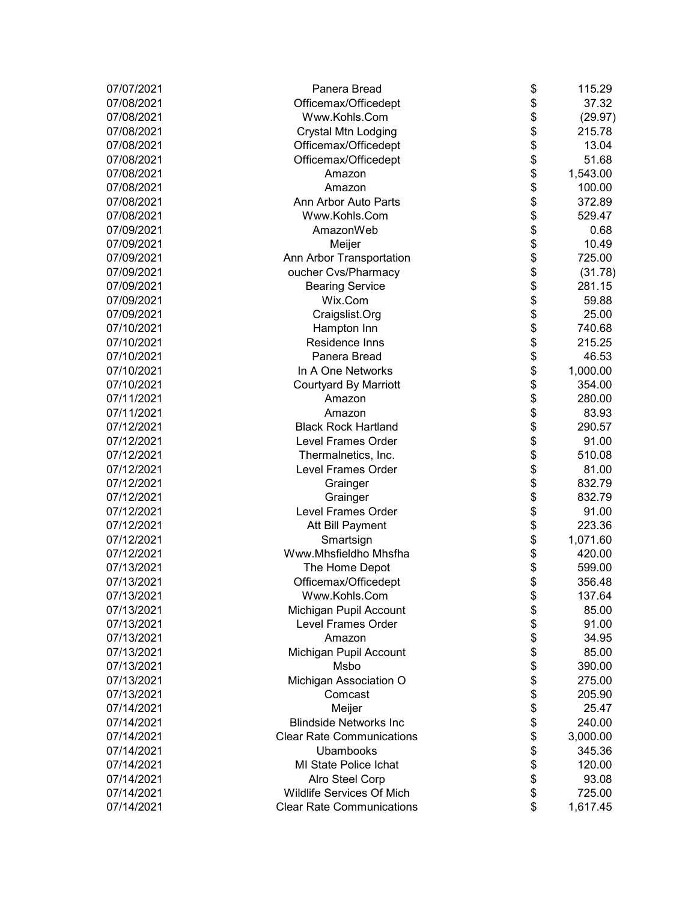| 07/07/2021 | Panera Bread                     | \$<br>115.29   |
|------------|----------------------------------|----------------|
| 07/08/2021 | Officemax/Officedept             | \$<br>37.32    |
| 07/08/2021 | Www.Kohls.Com                    | \$<br>(29.97)  |
| 07/08/2021 | <b>Crystal Mtn Lodging</b>       | \$<br>215.78   |
| 07/08/2021 | Officemax/Officedept             | \$<br>13.04    |
| 07/08/2021 | Officemax/Officedept             | \$<br>51.68    |
| 07/08/2021 | Amazon                           | \$<br>1,543.00 |
| 07/08/2021 | Amazon                           | \$<br>100.00   |
| 07/08/2021 | Ann Arbor Auto Parts             | \$<br>372.89   |
| 07/08/2021 | Www.Kohls.Com                    | \$<br>529.47   |
| 07/09/2021 | AmazonWeb                        | \$<br>0.68     |
| 07/09/2021 | Meijer                           | \$<br>10.49    |
| 07/09/2021 | Ann Arbor Transportation         | \$<br>725.00   |
| 07/09/2021 | oucher Cvs/Pharmacy              | \$<br>(31.78)  |
| 07/09/2021 | <b>Bearing Service</b>           | \$<br>281.15   |
| 07/09/2021 | Wix.Com                          | \$<br>59.88    |
| 07/09/2021 | Craigslist.Org                   | \$<br>25.00    |
| 07/10/2021 | Hampton Inn                      | \$<br>740.68   |
| 07/10/2021 | Residence Inns                   | \$<br>215.25   |
| 07/10/2021 | Panera Bread                     | \$<br>46.53    |
| 07/10/2021 | In A One Networks                | \$<br>1,000.00 |
| 07/10/2021 | <b>Courtyard By Marriott</b>     | \$<br>354.00   |
| 07/11/2021 | Amazon                           | \$<br>280.00   |
| 07/11/2021 | Amazon                           | \$<br>83.93    |
| 07/12/2021 | <b>Black Rock Hartland</b>       | \$<br>290.57   |
| 07/12/2021 | Level Frames Order               | \$<br>91.00    |
| 07/12/2021 | Thermalnetics, Inc.              | \$<br>510.08   |
| 07/12/2021 | Level Frames Order               | \$<br>81.00    |
| 07/12/2021 | Grainger                         | \$<br>832.79   |
| 07/12/2021 | Grainger                         | \$<br>832.79   |
| 07/12/2021 | Level Frames Order               | \$<br>91.00    |
| 07/12/2021 | Att Bill Payment                 | \$<br>223.36   |
| 07/12/2021 | Smartsign                        | \$<br>1,071.60 |
| 07/12/2021 | Www.Mhsfieldho Mhsfha            | \$<br>420.00   |
| 07/13/2021 | The Home Depot                   | \$<br>599.00   |
| 07/13/2021 | Officemax/Officedept             | \$<br>356.48   |
| 07/13/2021 | Www.Kohls.Com                    | \$<br>137.64   |
| 07/13/2021 | Michigan Pupil Account           | \$<br>85.00    |
| 07/13/2021 | <b>Level Frames Order</b>        | \$<br>91.00    |
| 07/13/2021 | Amazon                           | \$<br>34.95    |
| 07/13/2021 | Michigan Pupil Account           | \$<br>85.00    |
| 07/13/2021 | Msbo                             | \$<br>390.00   |
| 07/13/2021 | Michigan Association O           | \$<br>275.00   |
| 07/13/2021 | Comcast                          | \$<br>205.90   |
| 07/14/2021 | Meijer                           | \$<br>25.47    |
| 07/14/2021 | <b>Blindside Networks Inc</b>    | \$<br>240.00   |
| 07/14/2021 | <b>Clear Rate Communications</b> | \$<br>3,000.00 |
| 07/14/2021 | Ubambooks                        | \$<br>345.36   |
| 07/14/2021 | MI State Police Ichat            | \$<br>120.00   |
| 07/14/2021 | Alro Steel Corp                  | \$<br>93.08    |
| 07/14/2021 | Wildlife Services Of Mich        | \$<br>725.00   |
| 07/14/2021 | <b>Clear Rate Communications</b> | \$<br>1,617.45 |
|            |                                  |                |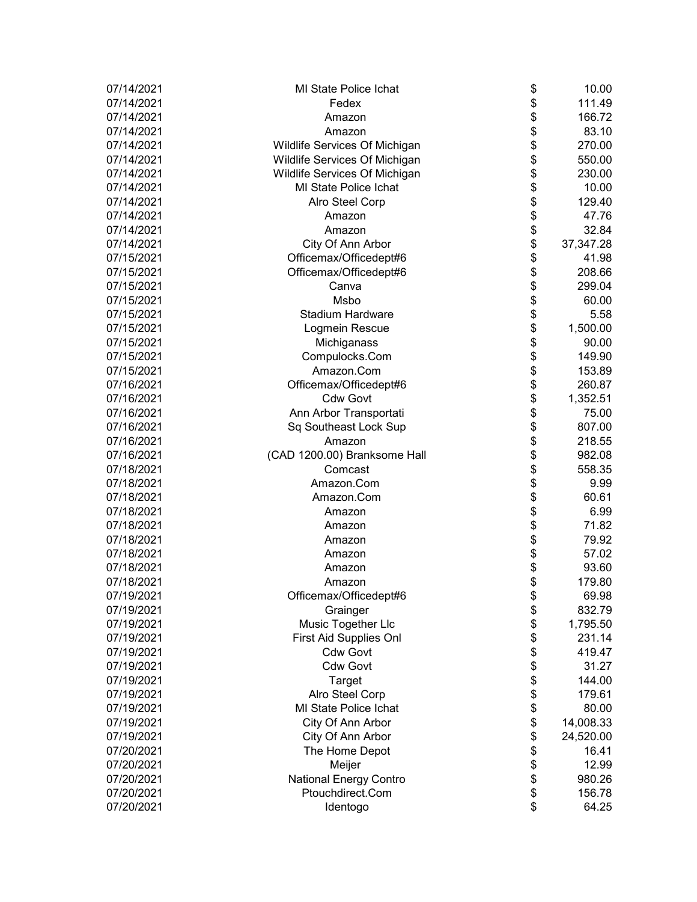| 07/14/2021 | MI State Police Ichat         | \$<br>10.00     |
|------------|-------------------------------|-----------------|
| 07/14/2021 | Fedex                         | \$<br>111.49    |
| 07/14/2021 | Amazon                        | \$<br>166.72    |
| 07/14/2021 | Amazon                        | \$<br>83.10     |
| 07/14/2021 | Wildlife Services Of Michigan | \$<br>270.00    |
| 07/14/2021 | Wildlife Services Of Michigan | \$<br>550.00    |
| 07/14/2021 | Wildlife Services Of Michigan | \$<br>230.00    |
| 07/14/2021 | MI State Police Ichat         | \$<br>10.00     |
| 07/14/2021 | Alro Steel Corp               | \$<br>129.40    |
| 07/14/2021 | Amazon                        | \$<br>47.76     |
| 07/14/2021 | Amazon                        | \$<br>32.84     |
| 07/14/2021 | City Of Ann Arbor             | \$<br>37,347.28 |
| 07/15/2021 | Officemax/Officedept#6        | \$<br>41.98     |
| 07/15/2021 | Officemax/Officedept#6        | \$<br>208.66    |
| 07/15/2021 | Canva                         | \$<br>299.04    |
| 07/15/2021 | Msbo                          | \$<br>60.00     |
| 07/15/2021 | <b>Stadium Hardware</b>       | \$<br>5.58      |
| 07/15/2021 | Logmein Rescue                | \$<br>1,500.00  |
| 07/15/2021 | Michiganass                   | \$<br>90.00     |
| 07/15/2021 | Compulocks.Com                | \$<br>149.90    |
| 07/15/2021 | Amazon.Com                    | \$<br>153.89    |
| 07/16/2021 | Officemax/Officedept#6        | \$<br>260.87    |
| 07/16/2021 | <b>Cdw Govt</b>               | \$<br>1,352.51  |
| 07/16/2021 | Ann Arbor Transportati        | \$<br>75.00     |
| 07/16/2021 | Sq Southeast Lock Sup         | \$<br>807.00    |
| 07/16/2021 | Amazon                        | \$<br>218.55    |
| 07/16/2021 | (CAD 1200.00) Branksome Hall  | \$<br>982.08    |
| 07/18/2021 | Comcast                       | \$<br>558.35    |
| 07/18/2021 | Amazon.Com                    | \$<br>9.99      |
| 07/18/2021 | Amazon.Com                    | \$<br>60.61     |
| 07/18/2021 | Amazon                        | \$<br>6.99      |
| 07/18/2021 | Amazon                        | \$<br>71.82     |
| 07/18/2021 | Amazon                        | \$<br>79.92     |
| 07/18/2021 | Amazon                        | \$<br>57.02     |
| 07/18/2021 | Amazon                        | \$<br>93.60     |
| 07/18/2021 | Amazon                        | \$<br>179.80    |
| 07/19/2021 | Officemax/Officedept#6        | \$<br>69.98     |
| 07/19/2021 | Grainger                      | \$<br>832.79    |
| 07/19/2021 | Music Together Llc            | \$<br>1,795.50  |
| 07/19/2021 | First Aid Supplies Onl        | \$<br>231.14    |
| 07/19/2021 | <b>Cdw Govt</b>               | \$<br>419.47    |
| 07/19/2021 | <b>Cdw Govt</b>               | \$<br>31.27     |
| 07/19/2021 | Target                        | \$<br>144.00    |
| 07/19/2021 | Alro Steel Corp               | \$<br>179.61    |
| 07/19/2021 | <b>MI State Police Ichat</b>  | \$<br>80.00     |
| 07/19/2021 | City Of Ann Arbor             | \$<br>14,008.33 |
| 07/19/2021 | City Of Ann Arbor             | \$<br>24,520.00 |
| 07/20/2021 | The Home Depot                | \$<br>16.41     |
| 07/20/2021 | Meijer                        | \$<br>12.99     |
| 07/20/2021 | <b>National Energy Contro</b> | \$<br>980.26    |
| 07/20/2021 | Ptouchdirect.Com              | \$<br>156.78    |
| 07/20/2021 | Identogo                      | \$<br>64.25     |
|            |                               |                 |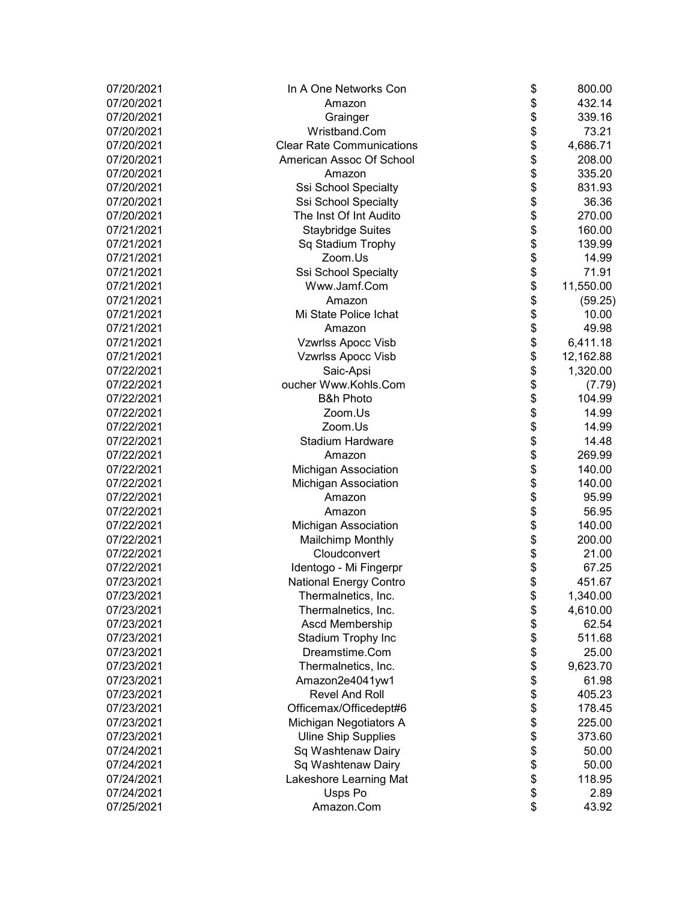| 07/20/2021 | In A One Networks Con            | \$<br>800.00    |
|------------|----------------------------------|-----------------|
| 07/20/2021 | Amazon                           | \$<br>432.14    |
| 07/20/2021 | Grainger                         | \$<br>339.16    |
| 07/20/2021 | Wristband.Com                    | \$<br>73.21     |
| 07/20/2021 | <b>Clear Rate Communications</b> | \$<br>4,686.71  |
| 07/20/2021 | American Assoc Of School         | \$<br>208.00    |
| 07/20/2021 | Amazon                           | \$<br>335.20    |
| 07/20/2021 | Ssi School Specialty             | \$<br>831.93    |
| 07/20/2021 | Ssi School Specialty             | \$<br>36.36     |
| 07/20/2021 | The Inst Of Int Audito           | \$<br>270.00    |
| 07/21/2021 | <b>Staybridge Suites</b>         | \$<br>160.00    |
| 07/21/2021 | Sq Stadium Trophy                | \$<br>139.99    |
| 07/21/2021 | Zoom.Us                          | \$<br>14.99     |
| 07/21/2021 | Ssi School Specialty             | \$<br>71.91     |
| 07/21/2021 | Www.Jamf.Com                     | \$<br>11,550.00 |
| 07/21/2021 | Amazon                           | \$<br>(59.25)   |
| 07/21/2021 | Mi State Police Ichat            | \$<br>10.00     |
| 07/21/2021 | Amazon                           | \$<br>49.98     |
| 07/21/2021 | <b>Vzwrlss Apocc Visb</b>        | \$<br>6,411.18  |
| 07/21/2021 | <b>Vzwrlss Apocc Visb</b>        | \$<br>12,162.88 |
| 07/22/2021 | Saic-Apsi                        | \$<br>1,320.00  |
| 07/22/2021 | oucher Www.Kohls.Com             | \$<br>(7.79)    |
| 07/22/2021 | <b>B&amp;h Photo</b>             | \$<br>104.99    |
| 07/22/2021 | Zoom.Us                          | \$<br>14.99     |
| 07/22/2021 | Zoom.Us                          | \$<br>14.99     |
| 07/22/2021 | <b>Stadium Hardware</b>          | \$<br>14.48     |
| 07/22/2021 | Amazon                           | \$<br>269.99    |
| 07/22/2021 | Michigan Association             | \$<br>140.00    |
| 07/22/2021 | Michigan Association             | \$<br>140.00    |
| 07/22/2021 | Amazon                           | \$<br>95.99     |
| 07/22/2021 | Amazon                           | \$<br>56.95     |
| 07/22/2021 | <b>Michigan Association</b>      | \$<br>140.00    |
| 07/22/2021 | <b>Mailchimp Monthly</b>         | \$<br>200.00    |
| 07/22/2021 | Cloudconvert                     | \$<br>21.00     |
| 07/22/2021 | Identogo - Mi Fingerpr           | \$<br>67.25     |
| 07/23/2021 | <b>National Energy Contro</b>    | \$<br>451.67    |
| 07/23/2021 | Thermalnetics, Inc.              | \$<br>1,340.00  |
| 07/23/2021 | Thermalnetics, Inc.              | \$<br>4,610.00  |
| 07/23/2021 | Ascd Membership                  | \$<br>62.54     |
| 07/23/2021 | Stadium Trophy Inc               | \$<br>511.68    |
| 07/23/2021 | Dreamstime.Com                   | \$<br>25.00     |
| 07/23/2021 | Thermalnetics, Inc.              | \$<br>9,623.70  |
| 07/23/2021 | Amazon2e4041yw1                  | \$<br>61.98     |
| 07/23/2021 | <b>Revel And Roll</b>            | \$<br>405.23    |
| 07/23/2021 | Officemax/Officedept#6           | \$<br>178.45    |
| 07/23/2021 | Michigan Negotiators A           | \$<br>225.00    |
| 07/23/2021 | <b>Uline Ship Supplies</b>       | \$<br>373.60    |
| 07/24/2021 | Sq Washtenaw Dairy               | \$<br>50.00     |
| 07/24/2021 | Sq Washtenaw Dairy               | \$<br>50.00     |
| 07/24/2021 | Lakeshore Learning Mat           | \$<br>118.95    |
| 07/24/2021 | Usps Po                          | \$<br>2.89      |
| 07/25/2021 | Amazon.Com                       | \$<br>43.92     |
|            |                                  |                 |